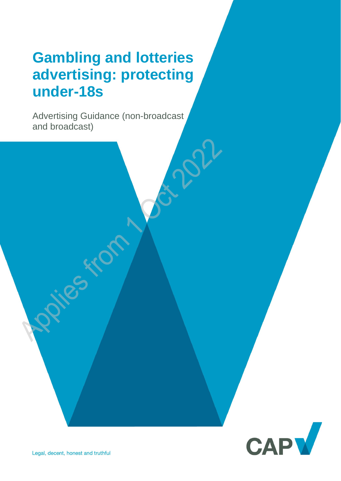# **Gambling and lotteries advertising: protecting under-18s**

Advertising Guidance (non-broadcast and broadcast)

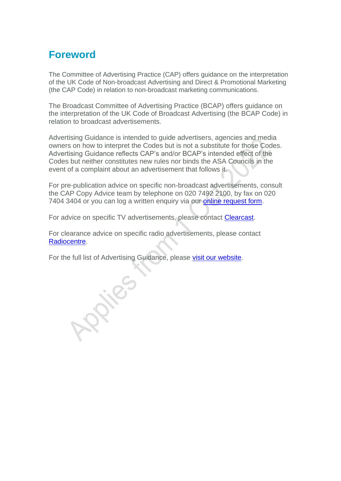## **Foreword**

The Committee of Advertising Practice (CAP) offers guidance on the interpretation of the UK Code of Non-broadcast Advertising and Direct & Promotional Marketing (the CAP Code) in relation to non-broadcast marketing communications.

The Broadcast Committee of Advertising Practice (BCAP) offers guidance on the interpretation of the UK Code of Broadcast Advertising (the BCAP Code) in relation to broadcast advertisements.

Advertising Guidance is intended to guide advertisers, agencies and media owners on how to interpret the Codes but is not a substitute for those Codes. Advertising Guidance reflects CAP's and/or BCAP's intended effect of the Codes but neither constitutes new rules nor binds the ASA Councils in the event of a complaint about an advertisement that follows it.

For pre-publication advice on specific non-broadcast advertisements, consult the CAP Copy Advice team by telephone on 020 7492 2100, by fax on 020 7404 3404 or you can log a written enquiry via our [online request form.](https://www.asa.org.uk/advice-and-resources/bespoke-copy-advice.html)

For advice on specific TV advertisements, please contact [Clearcast.](https://www.clearcast.co.uk/)

For clearance advice on specific radio advertisements, please contact [Radiocentre.](http://www.radiocentre.org/clearance/)

For the full list of Advertising Guidance, please [visit our website.](https://www.asa.org.uk/advice-and-resources/resource-library.html)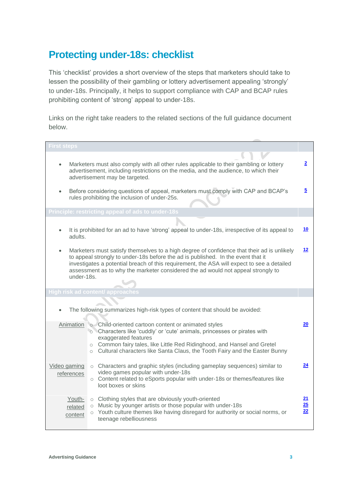## **Protecting under-18s: checklist**

This 'checklist' provides a short overview of the steps that marketers should take to lessen the possibility of their gambling or lottery advertisement appealing 'strongly' to under-18s. Principally, it helps to support compliance with CAP and BCAP rules prohibiting content of 'strong' appeal to under-18s.

Links on the right take readers to the related sections of the full guidance document below.

| <b>First steps</b>                                                                                                                                                                                                                                                                                                                                                                          |                                                                                                                                                                                                                                                                                                                    |                        |
|---------------------------------------------------------------------------------------------------------------------------------------------------------------------------------------------------------------------------------------------------------------------------------------------------------------------------------------------------------------------------------------------|--------------------------------------------------------------------------------------------------------------------------------------------------------------------------------------------------------------------------------------------------------------------------------------------------------------------|------------------------|
|                                                                                                                                                                                                                                                                                                                                                                                             | Marketers must also comply with all other rules applicable to their gambling or lottery<br>advertisement, including restrictions on the media, and the audience, to which their                                                                                                                                    | <u>2</u>               |
|                                                                                                                                                                                                                                                                                                                                                                                             | advertisement may be targeted.                                                                                                                                                                                                                                                                                     |                        |
|                                                                                                                                                                                                                                                                                                                                                                                             | Before considering questions of appeal, marketers must comply with CAP and BCAP's<br>rules prohibiting the inclusion of under-25s.                                                                                                                                                                                 | <u>5</u>               |
|                                                                                                                                                                                                                                                                                                                                                                                             | Principle: restricting appeal of ads to under-18s                                                                                                                                                                                                                                                                  |                        |
|                                                                                                                                                                                                                                                                                                                                                                                             |                                                                                                                                                                                                                                                                                                                    |                        |
| adults.                                                                                                                                                                                                                                                                                                                                                                                     | It is prohibited for an ad to have 'strong' appeal to under-18s, irrespective of its appeal to                                                                                                                                                                                                                     | <u>10</u>              |
| Marketers must satisfy themselves to a high degree of confidence that their ad is unlikely<br>$\bullet$<br>to appeal strongly to under-18s before the ad is published. In the event that it<br>investigates a potential breach of this requirement, the ASA will expect to see a detailed<br>assessment as to why the marketer considered the ad would not appeal strongly to<br>under-18s. |                                                                                                                                                                                                                                                                                                                    | 12                     |
|                                                                                                                                                                                                                                                                                                                                                                                             | <b>High risk ad content/ approaches</b>                                                                                                                                                                                                                                                                            |                        |
| The following summarizes high-risk types of content that should be avoided:                                                                                                                                                                                                                                                                                                                 |                                                                                                                                                                                                                                                                                                                    |                        |
| Animation                                                                                                                                                                                                                                                                                                                                                                                   | o Child-oriented cartoon content or animated styles<br>o Characters like 'cuddly' or 'cute' animals, princesses or pirates with<br>exaggerated features<br>○ Common fairy tales, like Little Red Ridinghood, and Hansel and Gretel<br>o Cultural characters like Santa Claus, the Tooth Fairy and the Easter Bunny | 20                     |
| Video gaming<br>references                                                                                                                                                                                                                                                                                                                                                                  | o Characters and graphic styles (including gameplay sequences) similar to<br>video games popular with under-18s<br>o Content related to eSports popular with under-18s or themes/features like<br>loot boxes or skins                                                                                              | 24                     |
| Youth-<br>related<br>content                                                                                                                                                                                                                                                                                                                                                                | o Clothing styles that are obviously youth-oriented<br>o Music by younger artists or those popular with under-18s<br>o Youth culture themes like having disregard for authority or social norms, or<br>teenage rebelliousness                                                                                      | <u> 21</u><br>25<br>22 |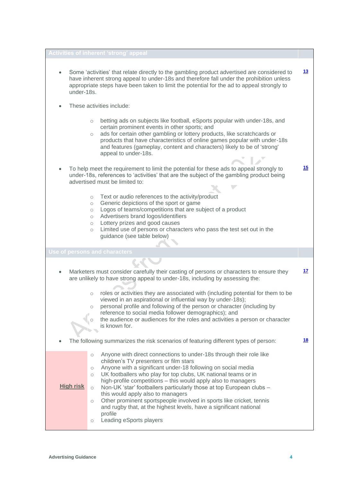| <b>Activities of inherent 'strong' appeal</b>                                                                                                                                                                         |                                                                                                                                                                                                                                                                                                                                                                                                                                                                                                                                                                                                                                                                                     |           |
|-----------------------------------------------------------------------------------------------------------------------------------------------------------------------------------------------------------------------|-------------------------------------------------------------------------------------------------------------------------------------------------------------------------------------------------------------------------------------------------------------------------------------------------------------------------------------------------------------------------------------------------------------------------------------------------------------------------------------------------------------------------------------------------------------------------------------------------------------------------------------------------------------------------------------|-----------|
| $\bullet$<br>under-18s.                                                                                                                                                                                               | Some 'activities' that relate directly to the gambling product advertised are considered to<br>have inherent strong appeal to under-18s and therefore fall under the prohibition unless<br>appropriate steps have been taken to limit the potential for the ad to appeal strongly to                                                                                                                                                                                                                                                                                                                                                                                                | <u>13</u> |
|                                                                                                                                                                                                                       | These activities include:                                                                                                                                                                                                                                                                                                                                                                                                                                                                                                                                                                                                                                                           |           |
|                                                                                                                                                                                                                       | betting ads on subjects like football, eSports popular with under-18s, and<br>$\circlearrowright$<br>certain prominent events in other sports; and<br>ads for certain other gambling or lottery products, like scratchcards or<br>$\circlearrowright$<br>products that have characteristics of online games popular with under-18s<br>and features (gameplay, content and characters) likely to be of 'strong'<br>appeal to under-18s.                                                                                                                                                                                                                                              |           |
| To help meet the requirement to limit the potential for these ads to appeal strongly to<br>under-18s, references to 'activities' that are the subject of the gambling product being<br>advertised must be limited to: |                                                                                                                                                                                                                                                                                                                                                                                                                                                                                                                                                                                                                                                                                     | 15        |
|                                                                                                                                                                                                                       | Text or audio references to the activity/product<br>$\circ$<br>Generic depictions of the sport or game<br>$\circlearrowright$<br>Logos of teams/competitions that are subject of a product<br>$\circ$<br>Advertisers brand logos/identifiers<br>$\circ$<br>Lottery prizes and good causes<br>$\circlearrowright$<br>Limited use of persons or characters who pass the test set out in the<br>$\circ$<br>guidance (see table below)                                                                                                                                                                                                                                                  |           |
|                                                                                                                                                                                                                       | Use of persons and characters                                                                                                                                                                                                                                                                                                                                                                                                                                                                                                                                                                                                                                                       |           |
|                                                                                                                                                                                                                       |                                                                                                                                                                                                                                                                                                                                                                                                                                                                                                                                                                                                                                                                                     |           |
| Marketers must consider carefully their casting of persons or characters to ensure they<br>$\bullet$<br>are unlikely to have strong appeal to under-18s, including by assessing the:                                  |                                                                                                                                                                                                                                                                                                                                                                                                                                                                                                                                                                                                                                                                                     | 17        |
|                                                                                                                                                                                                                       | roles or activities they are associated with (including potential for them to be<br>$\bigcirc$<br>viewed in an aspirational or influential way by under-18s);<br>personal profile and following of the person or character (including by<br>$\circ$<br>reference to social media follower demographics); and<br>the audience or audiences for the roles and activities a person or character<br>is known for.                                                                                                                                                                                                                                                                       |           |
|                                                                                                                                                                                                                       | The following summarizes the risk scenarios of featuring different types of person:                                                                                                                                                                                                                                                                                                                                                                                                                                                                                                                                                                                                 | <u>18</u> |
| <b>High risk</b>                                                                                                                                                                                                      | Anyone with direct connections to under-18s through their role like<br>$\circ$<br>children's TV presenters or film stars<br>Anyone with a significant under-18 following on social media<br>$\circ$<br>UK footballers who play for top clubs, UK national teams or in<br>$\circ$<br>high-profile competitions - this would apply also to managers<br>Non-UK 'star' footballers particularly those at top European clubs -<br>$\circ$<br>this would apply also to managers<br>Other prominent sportspeople involved in sports like cricket, tennis<br>$\circ$<br>and rugby that, at the highest levels, have a significant national<br>profile<br>Leading eSports players<br>$\circ$ |           |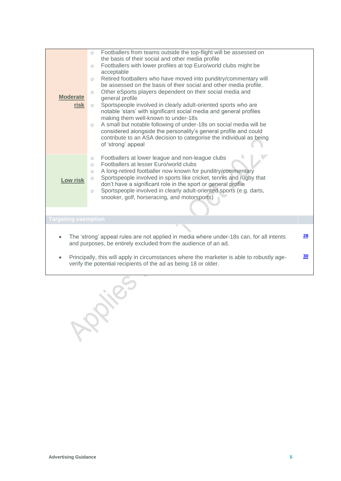| <b>Moderate</b><br>risk                                                                                                                                                   | Footballers from teams outside the top-flight will be assessed on<br>$\circ$<br>the basis of their social and other media profile<br>Footballers with lower profiles at top Euro/world clubs might be<br>$\circ$<br>acceptable<br>Retired footballers who have moved into punditry/commentary will<br>$\circ$<br>be assessed on the basis of their social and other media profile.<br>Other eSports players dependent on their social media and<br>$\circ$<br>general profile<br>Sportspeople involved in clearly adult-oriented sports who are<br>$\circ$<br>notable 'stars' with significant social media and general profiles<br>making them well-known to under-18s<br>A small but notable following of under-18s on social media will be<br>$\circ$<br>considered alongside the personality's general profile and could<br>contribute to an ASA decision to categorise the individual as being<br>of 'strong' appeal<br>Footballers at lower league and non-league clubs<br>$\circ$ |  |  |
|---------------------------------------------------------------------------------------------------------------------------------------------------------------------------|------------------------------------------------------------------------------------------------------------------------------------------------------------------------------------------------------------------------------------------------------------------------------------------------------------------------------------------------------------------------------------------------------------------------------------------------------------------------------------------------------------------------------------------------------------------------------------------------------------------------------------------------------------------------------------------------------------------------------------------------------------------------------------------------------------------------------------------------------------------------------------------------------------------------------------------------------------------------------------------|--|--|
| Low risk                                                                                                                                                                  | Footballers at lesser Euro/world clubs<br>$\bigcirc$<br>A long-retired footballer now known for punditry/commentary<br>$\bigcirc$<br>Sportspeople involved in sports like cricket, tennis and rugby that<br>$\circ$<br>don't have a significant role in the sport or general profile<br>Sportspeople involved in clearly adult-oriented sports (e.g. darts,<br>$\circ$<br>snooker, golf, horseracing, and motorsports)                                                                                                                                                                                                                                                                                                                                                                                                                                                                                                                                                                   |  |  |
| <b>Targeting exemption</b>                                                                                                                                                |                                                                                                                                                                                                                                                                                                                                                                                                                                                                                                                                                                                                                                                                                                                                                                                                                                                                                                                                                                                          |  |  |
| The 'strong' appeal rules are not applied in media where under-18s can, for all intents<br>and purposes, be entirely excluded from the audience of an ad.                 |                                                                                                                                                                                                                                                                                                                                                                                                                                                                                                                                                                                                                                                                                                                                                                                                                                                                                                                                                                                          |  |  |
| Principally, this will apply in circumstances where the marketer is able to robustly age-<br>$\bullet$<br>verify the potential recipients of the ad as being 18 or older. |                                                                                                                                                                                                                                                                                                                                                                                                                                                                                                                                                                                                                                                                                                                                                                                                                                                                                                                                                                                          |  |  |

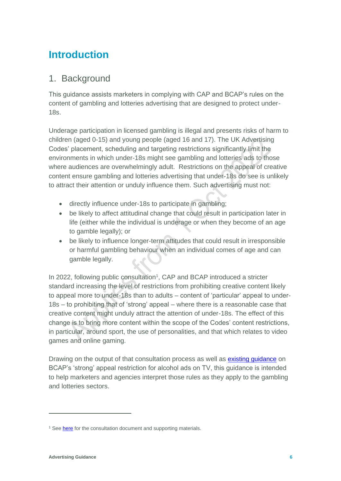## **Introduction**

#### 1. Background

This guidance assists marketers in complying with CAP and BCAP's rules on the content of gambling and lotteries advertising that are designed to protect under-18s.

Underage participation in licensed gambling is illegal and presents risks of harm to children (aged 0-15) and young people (aged 16 and 17). The UK Advertising Codes' placement, scheduling and targeting restrictions significantly limit the environments in which under-18s might see gambling and lotteries ads to those where audiences are overwhelmingly adult. Restrictions on the appeal of creative content ensure gambling and lotteries advertising that under-18s do see is unlikely to attract their attention or unduly influence them. Such advertising must not:

- directly influence under-18s to participate in gambling;
- be likely to affect attitudinal change that could result in participation later in life (either while the individual is underage or when they become of an age to gamble legally); or
- be likely to influence longer-term attitudes that could result in irresponsible or harmful gambling behaviour when an individual comes of age and can gamble legally.

In 2022, following public consultation<sup>1</sup>, CAP and BCAP introduced a stricter standard increasing the level of restrictions from prohibiting creative content likely to appeal more to under-18s than to adults – content of 'particular' appeal to under-18s – to prohibiting that of 'strong' appeal – where there is a reasonable case that creative content might unduly attract the attention of under-18s. The effect of this change is to bring more content within the scope of the Codes' content restrictions, in particular, around sport, the use of personalities, and that which relates to video games and online gaming.

Drawing on the output of that consultation process as well as [existing guidance](https://www.asa.org.uk/resource/alcohol-tv-ads.html) on BCAP's 'strong' appeal restriction for alcohol ads on TV, this guidance is intended to help marketers and agencies interpret those rules as they apply to the gambling and lotteries sectors.

<sup>&</sup>lt;sup>1</sup> See **here** for the consultation document and supporting materials.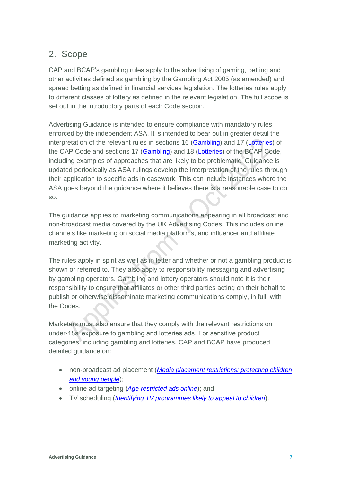#### <span id="page-6-0"></span>2. Scope

CAP and BCAP's gambling rules apply to the advertising of gaming, betting and other activities defined as gambling by the Gambling Act 2005 (as amended) and spread betting as defined in financial services legislation. The lotteries rules apply to different classes of lottery as defined in the relevant legislation. The full scope is set out in the introductory parts of each Code section.

Advertising Guidance is intended to ensure compliance with mandatory rules enforced by the independent ASA. It is intended to bear out in greater detail the interpretation of the relevant rules in sections 16 ([Gambling](https://www.asa.org.uk/type/non_broadcast/code_section/16.html)) and 17 ([Lotteries](https://www.asa.org.uk/type/non_broadcast/code_section/17.html)) of the CAP Code and sections 17 ([Gambling](https://www.asa.org.uk/type/broadcast/code_section/17.html)) and 18 ([Lotteries](https://www.asa.org.uk/type/broadcast/code_section/18.html)) of the BCAP Code, including examples of approaches that are likely to be problematic. Guidance is updated periodically as ASA rulings develop the interpretation of the rules through their application to specific ads in casework. This can include instances where the ASA goes beyond the guidance where it believes there is a reasonable case to do so.

The guidance applies to marketing communications appearing in all broadcast and non-broadcast media covered by the UK Advertising Codes. This includes online channels like marketing on social media platforms, and influencer and affiliate marketing activity.

The rules apply in spirit as well as in letter and whether or not a gambling product is shown or referred to. They also apply to responsibility messaging and advertising by gambling operators. Gambling and lottery operators should note it is their responsibility to ensure that affiliates or other third parties acting on their behalf to publish or otherwise disseminate marketing communications comply, in full, with the Codes.

Marketers must also ensure that they comply with the relevant restrictions on under-18s' exposure to gambling and lotteries ads. For sensitive product categories, including gambling and lotteries, CAP and BCAP have produced detailed guidance on:

- non-broadcast ad placement (*[Media placement restrictions: protecting children](https://www.asa.org.uk/asset/2DED3F6A-9932-4369-AFE72131059E6B8D.D31EF8F7-1CD4-45D4-A547C3418DEE3569/)  [and young people](https://www.asa.org.uk/asset/2DED3F6A-9932-4369-AFE72131059E6B8D.D31EF8F7-1CD4-45D4-A547C3418DEE3569/)*);
- online ad targeting (*[Age-restricted ads online](https://www.asa.org.uk/uploads/assets/72a4e889-1657-43e9-bf6ac0157fa2f72c/Age-restricted-ads-online-2021-guidance.pdf)*); and
- TV scheduling (*[Identifying TV programmes likely to appeal to children](https://www.asa.org.uk/asset/5C17A200-71C9-4B65-811992DD91BD2CC4/)*).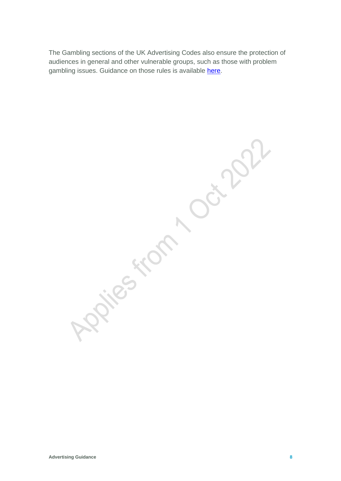The Gambling sections of the UK Advertising Codes also ensure the protection of audiences in general and other vulnerable groups, such as those with problem gambling issues. Guidance on those rules is available [here.](https://www.asa.org.uk/static/7624bbce-868b-4cd8-9f3e32fe24b2f32a/Revised-Responsibility-and-Problem-Gambling-Guidance-final.pdf)

Applies from not 2022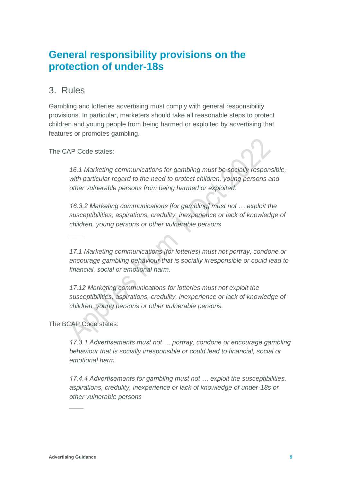## **General responsibility provisions on the protection of under-18s**

#### 3. Rules

Gambling and lotteries advertising must comply with general responsibility provisions. In particular, marketers should take all reasonable steps to protect children and young people from being harmed or exploited by advertising that features or promotes gambling.

The CAP Code states:

*\_\_\_\_*

*16.1 Marketing communications for gambling must be socially responsible, with particular regard to the need to protect children, young persons and other vulnerable persons from being harmed or exploited.*

*16.3.2 Marketing communications [for gambling] must not … exploit the susceptibilities, aspirations, credulity, inexperience or lack of knowledge of children, young persons or other vulnerable persons*

*17.1 Marketing communications [for lotteries] must not portray, condone or encourage gambling behaviour that is socially irresponsible or could lead to financial, social or emotional harm.*

*17.12 Marketing communications for lotteries must not exploit the susceptibilities, aspirations, credulity, inexperience or lack of knowledge of children, young persons or other vulnerable persons.*

The BCAP Code states:

*17.3.1 Advertisements must not … portray, condone or encourage gambling behaviour that is socially irresponsible or could lead to financial, social or emotional harm*

*17.4.4 Advertisements for gambling must not … exploit the susceptibilities, aspirations, credulity, inexperience or lack of knowledge of under-18s or other vulnerable persons*

*\_\_\_\_*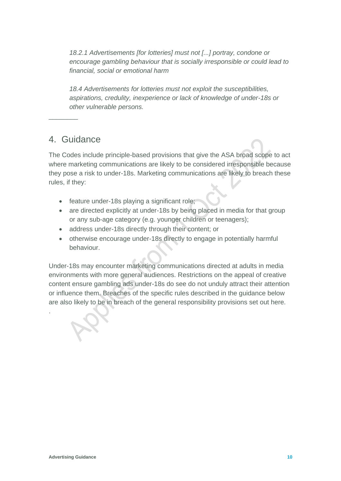*18.2.1 Advertisements [for lotteries] must not [...] portray, condone or encourage gambling behaviour that is socially irresponsible or could lead to financial, social or emotional harm*

*18.4 Advertisements for lotteries must not exploit the susceptibilities, aspirations, credulity, inexperience or lack of knowledge of under-18s or other vulnerable persons.*

#### 4. Guidance

 $\overline{\phantom{a}}$  , where  $\overline{\phantom{a}}$ 

The Codes include principle-based provisions that give the ASA broad scope to act where marketing communications are likely to be considered irresponsible because they pose a risk to under-18s. Marketing communications are likely to breach these rules, if they:

- feature under-18s playing a significant role;
- are directed explicitly at under-18s by being placed in media for that group or any sub-age category (e.g. younger children or teenagers);
- address under-18s directly through their content; or
- otherwise encourage under-18s directly to engage in potentially harmful behaviour.

Under-18s may encounter marketing communications directed at adults in media environments with more general audiences. Restrictions on the appeal of creative content ensure gambling ads under-18s do see do not unduly attract their attention or influence them. Breaches of the specific rules described in the guidance below are also likely to be in breach of the general responsibility provisions set out here.

.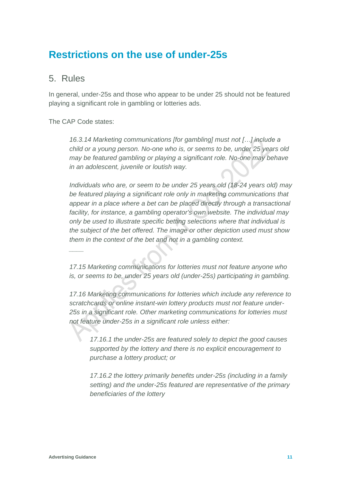## **Restrictions on the use of under-25s**

#### <span id="page-10-0"></span>5. Rules

In general, under-25s and those who appear to be under 25 should not be featured playing a significant role in gambling or lotteries ads.

#### The CAP Code states:

*\_\_\_\_*

*16.3.14 Marketing communications [for gambling] must not […] include a child or a young person. No-one who is, or seems to be, under 25 years old may be featured gambling or playing a significant role. No-one may behave in an adolescent, juvenile or loutish way.*

*Individuals who are, or seem to be under 25 years old (18-24 years old) may be featured playing a significant role only in marketing communications that appear in a place where a bet can be placed directly through a transactional facility, for instance, a gambling operator's own website. The individual may only be used to illustrate specific betting selections where that individual is the subject of the bet offered. The image or other depiction used must show them in the context of the bet and not in a gambling context.*

*17.15 Marketing communications for lotteries must not feature anyone who is, or seems to be, under 25 years old (under-25s) participating in gambling.*

*17.16 Marketing communications for lotteries which include any reference to scratchcards or online instant-win lottery products must not feature under-25s in a significant role. Other marketing communications for lotteries must not feature under-25s in a significant role unless either:*

*17.16.1 the under-25s are featured solely to depict the good causes supported by the lottery and there is no explicit encouragement to purchase a lottery product; or*

*17.16.2 the lottery primarily benefits under-25s (including in a family setting) and the under-25s featured are representative of the primary beneficiaries of the lottery*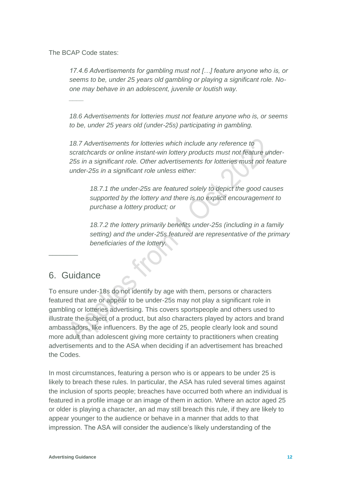The BCAP Code states:

*17.4.6 Advertisements for gambling must not […] feature anyone who is, or seems to be, under 25 years old gambling or playing a significant role. Noone may behave in an adolescent, juvenile or loutish way.*

*\_\_\_\_*

*18.6 Advertisements for lotteries must not feature anyone who is, or seems to be, under 25 years old (under-25s) participating in gambling.*

*18.7 Advertisements for lotteries which include any reference to scratchcards or online instant-win lottery products must not feature under-25s in a significant role. Other advertisements for lotteries must not feature under-25s in a significant role unless either:*

*18.7.1 the under-25s are featured solely to depict the good causes supported by the lottery and there is no explicit encouragement to purchase a lottery product; or*

*18.7.2 the lottery primarily benefits under-25s (including in a family setting) and the under-25s featured are representative of the primary beneficiaries of the lottery.*

#### 6. Guidance

\_\_\_\_\_\_\_\_

To ensure under-18s do not identify by age with them, persons or characters featured that are or appear to be under-25s may not play a significant role in gambling or lotteries advertising. This covers sportspeople and others used to illustrate the subject of a product, but also characters played by actors and brand ambassadors, like influencers. By the age of 25, people clearly look and sound more adult than adolescent giving more certainty to practitioners when creating advertisements and to the ASA when deciding if an advertisement has breached the Codes.

In most circumstances, featuring a person who is or appears to be under 25 is likely to breach these rules. In particular, the ASA has ruled several times against the inclusion of sports people; breaches have occurred both where an individual is featured in a profile image or an image of them in action. Where an actor aged 25 or older is playing a character, an ad may still breach this rule, if they are likely to appear younger to the audience or behave in a manner that adds to that impression. The ASA will consider the audience's likely understanding of the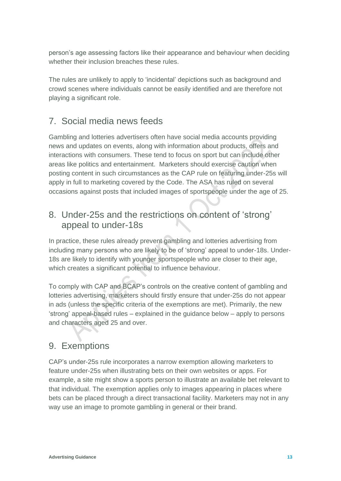person's age assessing factors like their appearance and behaviour when deciding whether their inclusion breaches these rules.

The rules are unlikely to apply to 'incidental' depictions such as background and crowd scenes where individuals cannot be easily identified and are therefore not playing a significant role.

### 7. Social media news feeds

Gambling and lotteries advertisers often have social media accounts providing news and updates on events, along with information about products, offers and interactions with consumers. These tend to focus on sport but can include other areas like politics and entertainment. Marketers should exercise caution when posting content in such circumstances as the CAP rule on featuring under-25s will apply in full to marketing covered by the Code. The ASA has ruled on several occasions against posts that included images of sportspeople under the age of 25.

#### <span id="page-12-0"></span>8. Under-25s and the restrictions on content of 'strong' appeal to under-18s

In practice, these rules already prevent gambling and lotteries advertising from including many persons who are likely to be of 'strong' appeal to under-18s. Under-18s are likely to identify with younger sportspeople who are closer to their age, which creates a significant potential to influence behaviour.

To comply with CAP and BCAP's controls on the creative content of gambling and lotteries advertising, marketers should firstly ensure that under-25s do not appear in ads (unless the specific criteria of the exemptions are met). Primarily, the new 'strong' appeal-based rules – explained in the guidance below – apply to persons and characters aged 25 and over.

#### 9. Exemptions

CAP's under-25s rule incorporates a narrow exemption allowing marketers to feature under-25s when illustrating bets on their own websites or apps. For example, a site might show a sports person to illustrate an available bet relevant to that individual. The exemption applies only to images appearing in places where bets can be placed through a direct transactional facility. Marketers may not in any way use an image to promote gambling in general or their brand.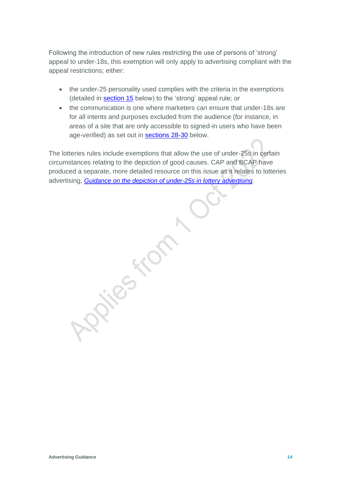Following the introduction of new rules restricting the use of persons of 'strong' appeal to under-18s, this exemption will only apply to advertising compliant with the appeal restrictions; either:

- the under-25 personality used complies with the criteria in the exemptions (detailed in [section 15](#page-19-0) below) to the 'strong' appeal rule; or
- the communication is one where marketers can ensure that under-18s are for all intents and purposes excluded from the audience (for instance, in areas of a site that are only accessible to signed-in users who have been age-verified) as set out in [sections 28-30](#page-33-0) below.

The lotteries rules include exemptions that allow the use of under-25s in certain circumstances relating to the depiction of good causes. CAP and BCAP have produced a separate, more detailed resource on this issue as it relates to lotteries advertising, *[Guidance on the depiction of under-25s in lottery advertising](https://www.asa.org.uk/uploads/assets/c67c900a-3bb0-4f48-92f8569a074fb1d6/Guidance-on-the-depiction-of-under-25s-in-lottery-advertising.pdf)*.

RS KOT

**Advertising Guidance 14**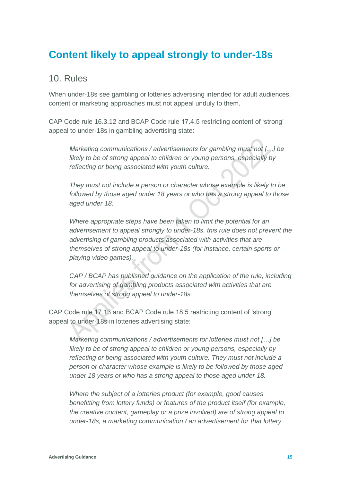## **Content likely to appeal strongly to under-18s**

#### <span id="page-14-0"></span>10. Rules

When under-18s see gambling or lotteries advertising intended for adult audiences, content or marketing approaches must not appeal unduly to them.

CAP Code rule 16.3.12 and BCAP Code rule 17.4.5 restricting content of 'strong' appeal to under-18s in gambling advertising state:

*Marketing communications / advertisements for gambling must not […] be likely to be of strong appeal to children or young persons, especially by reflecting or being associated with youth culture.* 

*They must not include a person or character whose example is likely to be followed by those aged under 18 years or who has a strong appeal to those aged under 18.*

*Where appropriate steps have been taken to limit the potential for an advertisement to appeal strongly to under-18s, this rule does not prevent the advertising of gambling products associated with activities that are themselves of strong appeal to under-18s (for instance, certain sports or playing video games).* 

*CAP / BCAP has published guidance on the application of the rule, including for advertising of gambling products associated with activities that are themselves of strong appeal to under-18s.*

CAP Code rule 17.13 and BCAP Code rule 18.5 restricting content of 'strong' appeal to under-18s in lotteries advertising state:

*Marketing communications / advertisements for lotteries must not […] be likely to be of strong appeal to children or young persons, especially by reflecting or being associated with youth culture. They must not include a person or character whose example is likely to be followed by those aged under 18 years or who has a strong appeal to those aged under 18.*

*Where the subject of a lotteries product (for example, good causes benefitting from lottery funds) or features of the product itself (for example, the creative content, gameplay or a prize involved) are of strong appeal to under-18s, a marketing communication / an advertisement for that lottery*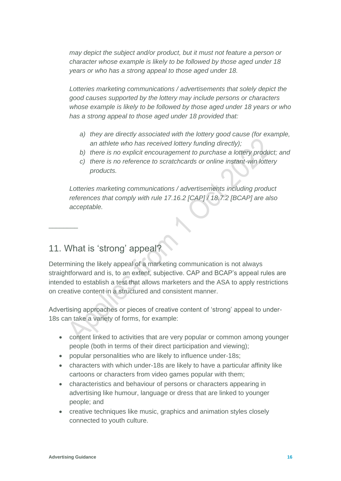*may depict the subject and/or product, but it must not feature a person or character whose example is likely to be followed by those aged under 18 years or who has a strong appeal to those aged under 18.*

*Lotteries marketing communications / advertisements that solely depict the good causes supported by the lottery may include persons or characters whose example is likely to be followed by those aged under 18 years or who has a strong appeal to those aged under 18 provided that:* 

- *a) they are directly associated with the lottery good cause (for example, an athlete who has received lottery funding directly);*
- *b) there is no explicit encouragement to purchase a lottery product; and*
- *c) there is no reference to scratchcards or online instant-win lottery products.*

*Lotteries marketing communications / advertisements including product references that comply with rule 17.16.2 [CAP] / 18.7.2 [BCAP] are also acceptable.*

## 11. What is 'strong' appeal?

 $\overline{\phantom{a}}$  , where  $\overline{\phantom{a}}$ 

Determining the likely appeal of a marketing communication is not always straightforward and is, to an extent, subjective. CAP and BCAP's appeal rules are intended to establish a test that allows marketers and the ASA to apply restrictions on creative content in a structured and consistent manner.

Advertising approaches or pieces of creative content of 'strong' appeal to under-18s can take a variety of forms, for example:

- content linked to activities that are very popular or common among younger people (both in terms of their direct participation and viewing);
- popular personalities who are likely to influence under-18s;
- characters with which under-18s are likely to have a particular affinity like cartoons or characters from video games popular with them;
- characteristics and behaviour of persons or characters appearing in advertising like humour, language or dress that are linked to younger people; and
- creative techniques like music, graphics and animation styles closely connected to youth culture.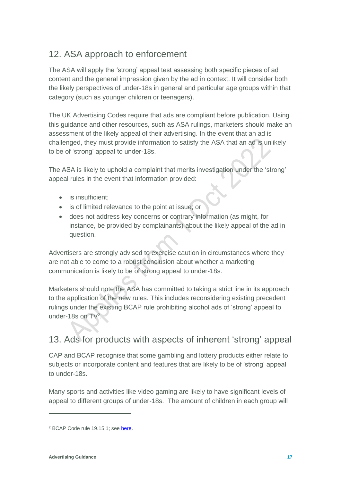## <span id="page-16-0"></span>12. ASA approach to enforcement

The ASA will apply the 'strong' appeal test assessing both specific pieces of ad content and the general impression given by the ad in context. It will consider both the likely perspectives of under-18s in general and particular age groups within that category (such as younger children or teenagers).

The UK Advertising Codes require that ads are compliant before publication. Using this guidance and other resources, such as ASA rulings, marketers should make an assessment of the likely appeal of their advertising. In the event that an ad is challenged, they must provide information to satisfy the ASA that an ad is unlikely to be of 'strong' appeal to under-18s.

The ASA is likely to uphold a complaint that merits investigation under the 'strong' appeal rules in the event that information provided:

- is insufficient:
- is of limited relevance to the point at issue; or
- does not address key concerns or contrary information (as might, for instance, be provided by complainants) about the likely appeal of the ad in question.

Advertisers are strongly advised to exercise caution in circumstances where they are not able to come to a robust conclusion about whether a marketing communication is likely to be of strong appeal to under-18s.

Marketers should note the ASA has committed to taking a strict line in its approach to the application of the new rules. This includes reconsidering existing precedent rulings under the existing BCAP rule prohibiting alcohol ads of 'strong' appeal to under-18s on TV<sup>2</sup>.

### <span id="page-16-1"></span>13. Ads for products with aspects of inherent 'strong' appeal

CAP and BCAP recognise that some gambling and lottery products either relate to subjects or incorporate content and features that are likely to be of 'strong' appeal to under-18s.

Many sports and activities like video gaming are likely to have significant levels of appeal to different groups of under-18s. The amount of children in each group will

<sup>2</sup> BCAP Code rule 19.15.1; se[e here.](https://www.asa.org.uk/type/broadcast/code_section/19.html)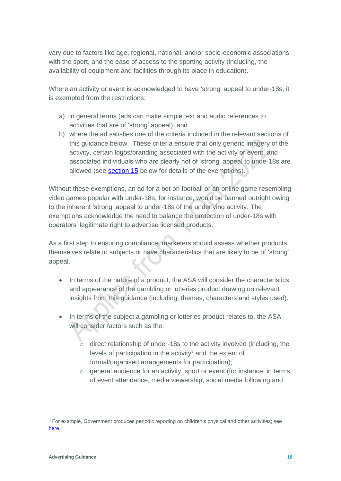vary due to factors like age, regional, national, and/or socio-economic associations with the sport, and the ease of access to the sporting activity (including, the availability of equipment and facilities through its place in education).

Where an activity or event is acknowledged to have 'strong' appeal to under-18s, it is exempted from the restrictions:

- a) in general terms (ads can make simple text and audio references to activities that are of 'strong' appeal); and
- b) where the ad satisfies one of the criteria included in the relevant sections of this guidance below. These criteria ensure that only generic imagery of the activity, certain logos/branding associated with the activity or event, and associated individuals who are clearly not of 'strong' appeal to unde-18s are allowed (see [section 15](#page-19-0) below for details of the exemptions).

Without these exemptions, an ad for a bet on football or an online game resembling video games popular with under-18s, for instance, would be banned outright owing to the inherent 'strong' appeal to under-18s of the underlying activity. The exemptions acknowledge the need to balance the protection of under-18s with operators' legitimate right to advertise licensed products.

As a first step to ensuring compliance, marketers should assess whether products themselves relate to subjects or have characteristics that are likely to be of 'strong' appeal.

- In terms of the nature of a product, the ASA will consider the characteristics and appearance of the gambling or lotteries product drawing on relevant insights from this guidance (including, themes, characters and styles used).
- In terms of the subject a gambling or lotteries product relates to, the ASA will consider factors such as the:
	- $\circ$  direct relationship of under-18s to the activity involved (including, the levels of participation in the activity $3$  and the extent of formal/organised arrangements for participation);
	- o general audience for an activity, sport or event (for instance, in terms of event attendance, media viewership, social media following and

<sup>3</sup> For example, Government produces periodic reporting on children's physical and other activities; see [here.](https://assets.publishing.service.gov.uk/government/uploads/system/uploads/attachment_data/file/539029/Taking_Part_2015_16_Child_Report_-_FINAL.pdf)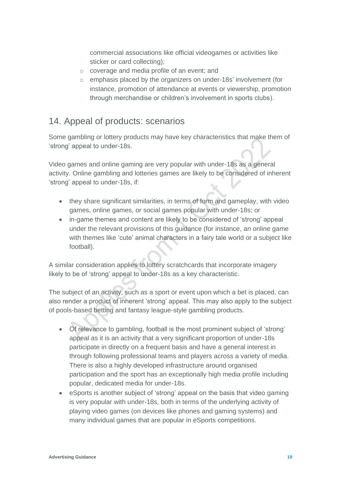commercial associations like official videogames or activities like sticker or card collecting);

- o coverage and media profile of an event; and
- o emphasis placed by the organizers on under-18s' involvement (for instance, promotion of attendance at events or viewership, promotion through merchandise or children's involvement in sports clubs).

#### 14. Appeal of products: scenarios

Some gambling or lottery products may have key characteristics that make them of 'strong' appeal to under-18s.

Video games and online gaming are very popular with under-18s as a general activity. Online gambling and lotteries games are likely to be considered of inherent 'strong' appeal to under-18s, if:

- they share significant similarities, in terms of form and gameplay, with video games, online games, or social games popular with under-18s; or
- in-game themes and content are likely to be considered of 'strong' appeal under the relevant provisions of this guidance (for instance, an online game with themes like 'cute' animal characters in a fairy tale world or a subject like football).

A similar consideration applies to lottery scratchcards that incorporate imagery likely to be of 'strong' appeal to under-18s as a key characteristic.

The subject of an activity, such as a sport or event upon which a bet is placed, can also render a product of inherent 'strong' appeal. This may also apply to the subject of pools-based betting and fantasy league-style gambling products.

- Of relevance to gambling, football is the most prominent subject of 'strong' appeal as it is an activity that a very significant proportion of under-18s participate in directly on a frequent basis and have a general interest in through following professional teams and players across a variety of media. There is also a highly developed infrastructure around organised participation and the sport has an exceptionally high media profile including popular, dedicated media for under-18s.
- eSports is another subject of 'strong' appeal on the basis that video gaming is very popular with under-18s, both in terms of the underlying activity of playing video games (on devices like phones and gaming systems) and many individual games that are popular in eSports competitions.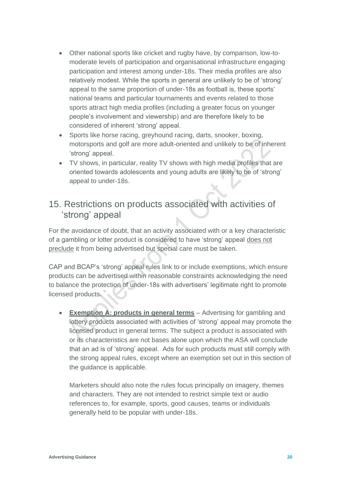- Other national sports like cricket and rugby have, by comparison, low-tomoderate levels of participation and organisational infrastructure engaging participation and interest among under-18s. Their media profiles are also relatively modest. While the sports in general are unlikely to be of 'strong' appeal to the same proportion of under-18s as football is, these sports' national teams and particular tournaments and events related to those sports attract high media profiles (including a greater focus on younger people's involvement and viewership) and are therefore likely to be considered of inherent 'strong' appeal.
- Sports like horse racing, greyhound racing, darts, snooker, boxing, motorsports and golf are more adult-oriented and unlikely to be of inherent 'strong' appeal.
- TV shows, in particular, reality TV shows with high media profiles that are oriented towards adolescents and young adults are likely to be of 'strong' appeal to under-18s.

#### <span id="page-19-0"></span>15. Restrictions on products associated with activities of 'strong' appeal

For the avoidance of doubt, that an activity associated with or a key characteristic of a gambling or lotter product is considered to have 'strong' appeal does not preclude it from being advertised but special care must be taken.

CAP and BCAP's 'strong' appeal rules link to or include exemptions, which ensure products can be advertised within reasonable constraints acknowledging the need to balance the protection of under-18s with advertisers' legitimate right to promote licensed products.

• **Exemption A: products in general terms** – Advertising for gambling and lottery products associated with activities of 'strong' appeal may promote the licensed product in general terms. The subject a product is associated with or its characteristics are not bases alone upon which the ASA will conclude that an ad is of 'strong' appeal. Ads for such products must still comply with the strong appeal rules, except where an exemption set out in this section of the guidance is applicable.

Marketers should also note the rules focus principally on imagery, themes and characters. They are not intended to restrict simple text or audio references to, for example, sports, good causes, teams or individuals generally held to be popular with under-18s.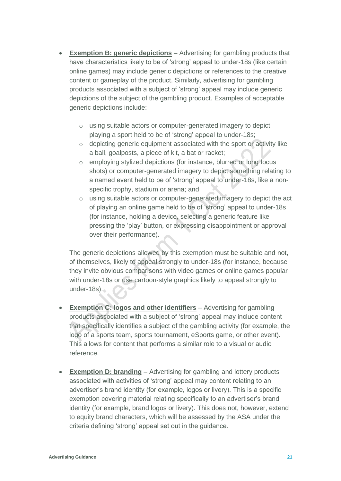- **Exemption B: generic depictions** Advertising for gambling products that have characteristics likely to be of 'strong' appeal to under-18s (like certain online games) may include generic depictions or references to the creative content or gameplay of the product. Similarly, advertising for gambling products associated with a subject of 'strong' appeal may include generic depictions of the subject of the gambling product. Examples of acceptable generic depictions include:
	- o using suitable actors or computer-generated imagery to depict playing a sport held to be of 'strong' appeal to under-18s;
	- $\circ$  depicting generic equipment associated with the sport or activity like a ball, goalposts, a piece of kit, a bat or racket;
	- o employing stylized depictions (for instance, blurred or long focus shots) or computer-generated imagery to depict something relating to a named event held to be of 'strong' appeal to under-18s, like a nonspecific trophy, stadium or arena; and
	- o using suitable actors or computer-generated imagery to depict the act of playing an online game held to be of 'strong' appeal to under-18s (for instance, holding a device, selecting a generic feature like pressing the 'play' button, or expressing disappointment or approval over their performance).

The generic depictions allowed by this exemption must be suitable and not, of themselves, likely to appeal strongly to under-18s (for instance, because they invite obvious comparisons with video games or online games popular with under-18s or use cartoon-style graphics likely to appeal strongly to under-18s).

- **Exemption C: logos and other identifiers** Advertising for gambling products associated with a subject of 'strong' appeal may include content that specifically identifies a subject of the gambling activity (for example, the logo of a sports team, sports tournament, eSports game, or other event). This allows for content that performs a similar role to a visual or audio reference.
- **Exemption D: branding** Advertising for gambling and lottery products associated with activities of 'strong' appeal may content relating to an advertiser's brand identity (for example, logos or livery). This is a specific exemption covering material relating specifically to an advertiser's brand identity (for example, brand logos or livery). This does not, however, extend to equity brand characters, which will be assessed by the ASA under the criteria defining 'strong' appeal set out in the guidance.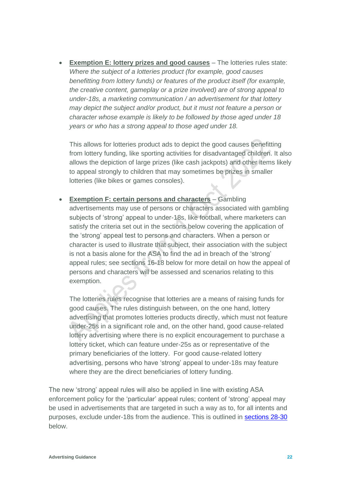• **Exemption E: lottery prizes and good causes** – The lotteries rules state: *Where the subject of a lotteries product (for example, good causes benefitting from lottery funds) or features of the product itself (for example, the creative content, gameplay or a prize involved) are of strong appeal to under-18s, a marketing communication / an advertisement for that lottery may depict the subject and/or product, but it must not feature a person or character whose example is likely to be followed by those aged under 18 years or who has a strong appeal to those aged under 18.* 

This allows for lotteries product ads to depict the good causes benefitting from lottery funding, like sporting activities for disadvantaged children. It also allows the depiction of large prizes (like cash jackpots) and other items likely to appeal strongly to children that may sometimes be prizes in smaller lotteries (like bikes or games consoles).

• **Exemption F: certain persons and characters** – Gambling advertisements may use of persons or characters associated with gambling subjects of 'strong' appeal to under-18s, like football, where marketers can satisfy the criteria set out in the sections below covering the application of the 'strong' appeal test to persons and characters. When a person or character is used to illustrate that subject, their association with the subject is not a basis alone for the ASA to find the ad in breach of the 'strong' appeal rules; see sections 16-18 below for more detail on how the appeal of persons and characters will be assessed and scenarios relating to this exemption.

The lotteries rules recognise that lotteries are a means of raising funds for good causes. The rules distinguish between, on the one hand, lottery advertising that promotes lotteries products directly, which must not feature under-25s in a significant role and, on the other hand, good cause-related lottery advertising where there is no explicit encouragement to purchase a lottery ticket, which can feature under-25s as or representative of the primary beneficiaries of the lottery. For good cause-related lottery advertising, persons who have 'strong' appeal to under-18s may feature where they are the direct beneficiaries of lottery funding.

The new 'strong' appeal rules will also be applied in line with existing ASA enforcement policy for the 'particular' appeal rules; content of 'strong' appeal may be used in advertisements that are targeted in such a way as to, for all intents and purposes, exclude under-18s from the audience. This is outlined in [sections](#page-33-0) 28-30 below.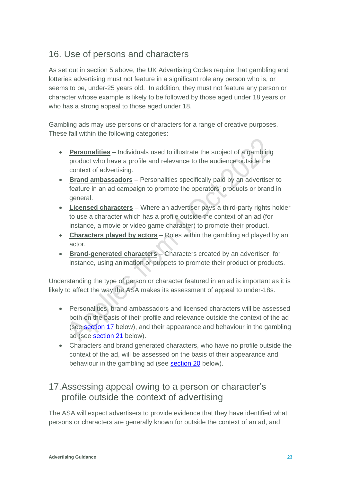#### 16. Use of persons and characters

As set out in section 5 above, the UK Advertising Codes require that gambling and lotteries advertising must not feature in a significant role any person who is, or seems to be, under-25 years old. In addition, they must not feature any person or character whose example is likely to be followed by those aged under 18 years or who has a strong appeal to those aged under 18.

Gambling ads may use persons or characters for a range of creative purposes. These fall within the following categories:

- **Personalities** Individuals used to illustrate the subject of a gambling product who have a profile and relevance to the audience outside the context of advertising.
- **Brand ambassadors** Personalities specifically paid by an advertiser to feature in an ad campaign to promote the operators' products or brand in general.
- **Licensed characters** Where an advertiser pays a third-party rights holder to use a character which has a profile outside the context of an ad (for instance, a movie or video game character) to promote their product.
- **Characters played by actors** Roles within the gambling ad played by an actor.
- **Brand-generated characters** Characters created by an advertiser, for instance, using animation or puppets to promote their product or products.

Understanding the type of person or character featured in an ad is important as it is likely to affect the way the ASA makes its assessment of appeal to under-18s.

- Personalities, brand ambassadors and licensed characters will be assessed both on the basis of their profile and relevance outside the context of the ad (see [section 17](#page-22-0) below), and their appearance and behaviour in the gambling ad (see [section](#page-28-0) 21 below).
- Characters and brand generated characters, who have no profile outside the context of the ad, will be assessed on the basis of their appearance and behaviour in the gambling ad (see [section 20](#page-27-0) below).

#### <span id="page-22-0"></span>17.Assessing appeal owing to a person or character's profile outside the context of advertising

The ASA will expect advertisers to provide evidence that they have identified what persons or characters are generally known for outside the context of an ad, and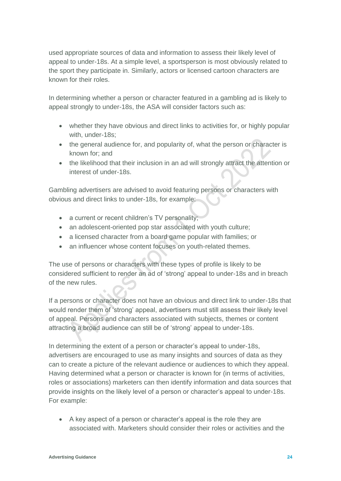used appropriate sources of data and information to assess their likely level of appeal to under-18s. At a simple level, a sportsperson is most obviously related to the sport they participate in. Similarly, actors or licensed cartoon characters are known for their roles.

In determining whether a person or character featured in a gambling ad is likely to appeal strongly to under-18s, the ASA will consider factors such as:

- whether they have obvious and direct links to activities for, or highly popular with, under-18s;
- the general audience for, and popularity of, what the person or character is known for; and
- the likelihood that their inclusion in an ad will strongly attract the attention or interest of under-18s.

Gambling advertisers are advised to avoid featuring persons or characters with obvious and direct links to under-18s, for example:

- a current or recent children's TV personality;
- an adolescent-oriented pop star associated with youth culture;
- a licensed character from a board game popular with families; or
- an influencer whose content focuses on youth-related themes.

The use of persons or characters with these types of profile is likely to be considered sufficient to render an ad of 'strong' appeal to under-18s and in breach of the new rules.

If a persons or character does not have an obvious and direct link to under-18s that would render them of 'strong' appeal, advertisers must still assess their likely level of appeal. Persons and characters associated with subjects, themes or content attracting a broad audience can still be of 'strong' appeal to under-18s.

In determining the extent of a person or character's appeal to under-18s, advertisers are encouraged to use as many insights and sources of data as they can to create a picture of the relevant audience or audiences to which they appeal. Having determined what a person or character is known for (in terms of activities, roles or associations) marketers can then identify information and data sources that provide insights on the likely level of a person or character's appeal to under-18s. For example:

• A key aspect of a person or character's appeal is the role they are associated with. Marketers should consider their roles or activities and the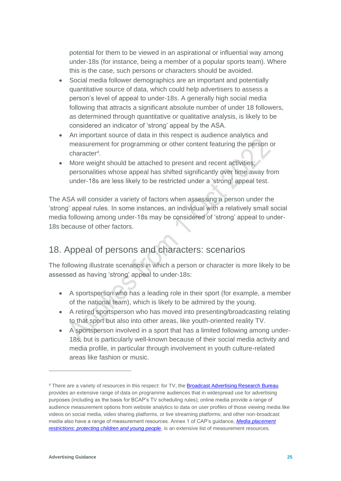potential for them to be viewed in an aspirational or influential way among under-18s (for instance, being a member of a popular sports team). Where this is the case, such persons or characters should be avoided.

- Social media follower demographics are an important and potentially quantitative source of data, which could help advertisers to assess a person's level of appeal to under-18s. A generally high social media following that attracts a significant absolute number of under 18 followers, as determined through quantitative or qualitative analysis, is likely to be considered an indicator of 'strong' appeal by the ASA.
- An important source of data in this respect is audience analytics and measurement for programming or other content featuring the person or character<sup>4</sup> .
- More weight should be attached to present and recent activities; personalities whose appeal has shifted significantly over time away from under-18s are less likely to be restricted under a 'strong' appeal test.

The ASA will consider a variety of factors when assessing a person under the 'strong' appeal rules. In some instances, an individual with a relatively small social media following among under-18s may be considered of 'strong' appeal to under-18s because of other factors.

## <span id="page-24-0"></span>18. Appeal of persons and characters: scenarios

The following illustrate scenarios in which a person or character is more likely to be assessed as having 'strong' appeal to under-18s:

- A sportsperson who has a leading role in their sport (for example, a member of the national team), which is likely to be admired by the young.
- A retired sportsperson who has moved into presenting/broadcasting relating to that sport but also into other areas, like youth-oriented reality TV.
- A sportsperson involved in a sport that has a limited following among under-18s, but is particularly well-known because of their social media activity and media profile, in particular through involvement in youth culture-related areas like fashion or music.

<sup>&</sup>lt;sup>4</sup> There are a variety of resources in this respect: for TV, the **Broadcast Advertising Research Bureau** provides an extensive range of data on programme audiences that in widespread use for advertising purposes (including as the basis for BCAP's TV scheduling rules); online media provide a range of audience measurement options from website analytics to data on user profiles of those viewing media like videos on social media, video sharing platforms, or live streaming platforms; and other non-broadcast media also have a range of measurement resources. Annex 1 of CAP's guidance, *[Media placement](https://www.asa.org.uk/asset/2DED3F6A-9932-4369-AFE72131059E6B8D.D31EF8F7-1CD4-45D4-A547C3418DEE3569/)*  **restrictions:** protecting children and young people, is an extensive list of measurement resources.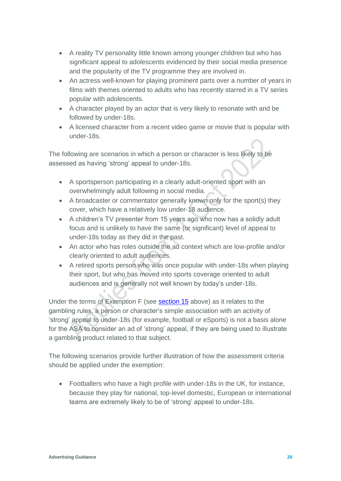- A reality TV personality little known among younger children but who has significant appeal to adolescents evidenced by their social media presence and the popularity of the TV programme they are involved in.
- An actress well-known for playing prominent parts over a number of years in films with themes oriented to adults who has recently starred in a TV series popular with adolescents.
- A character played by an actor that is very likely to resonate with and be followed by under-18s.
- A licensed character from a recent video game or movie that is popular with under-18s.

The following are scenarios in which a person or character is less likely to be assessed as having 'strong' appeal to under-18s.

- A sportsperson participating in a clearly adult-oriented sport with an overwhelmingly adult following in social media.
- A broadcaster or commentator generally known only for the sport(s) they cover, which have a relatively low under-18 audience.
- A children's TV presenter from 15 years ago who now has a solidly adult focus and is unlikely to have the same (or significant) level of appeal to under-18s today as they did in the past.
- An actor who has roles outside the ad context which are low-profile and/or clearly oriented to adult audiences.
- A retired sports person who was once popular with under-18s when playing their sport, but who has moved into sports coverage oriented to adult audiences and is generally not well known by today's under-18s.

Under the terms of Exemption F (see [section 15](#page-19-0) above) as it relates to the gambling rules, a person or character's simple association with an activity of 'strong' appeal to under-18s (for example, football or eSports) is not a basis alone for the ASA to consider an ad of 'strong' appeal, if they are being used to illustrate a gambling product related to that subject.

The following scenarios provide further illustration of how the assessment criteria should be applied under the exemption:

• Footballers who have a high profile with under-18s in the UK, for instance, because they play for national, top-level domestic, European or international teams are extremely likely to be of 'strong' appeal to under-18s.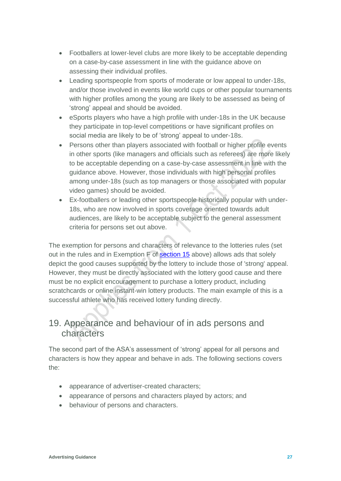- Footballers at lower-level clubs are more likely to be acceptable depending on a case-by-case assessment in line with the guidance above on assessing their individual profiles.
- Leading sportspeople from sports of moderate or low appeal to under-18s, and/or those involved in events like world cups or other popular tournaments with higher profiles among the young are likely to be assessed as being of 'strong' appeal and should be avoided.
- eSports players who have a high profile with under-18s in the UK because they participate in top-level competitions or have significant profiles on social media are likely to be of 'strong' appeal to under-18s.
- Persons other than players associated with football or higher profile events in other sports (like managers and officials such as referees) are more likely to be acceptable depending on a case-by-case assessment in line with the guidance above. However, those individuals with high personal profiles among under-18s (such as top managers or those associated with popular video games) should be avoided.
- Ex-footballers or leading other sportspeople historically popular with under-18s, who are now involved in sports coverage oriented towards adult audiences, are likely to be acceptable subject to the general assessment criteria for persons set out above.

The exemption for persons and characters of relevance to the lotteries rules (set out in the rules and in Exemption F of [section 15](#page-19-0) above) allows ads that solely depict the good causes supported by the lottery to include those of 'strong' appeal. However, they must be directly associated with the lottery good cause and there must be no explicit encouragement to purchase a lottery product, including scratchcards or online instant-win lottery products. The main example of this is a successful athlete who has received lottery funding directly.

#### 19. Appearance and behaviour of in ads persons and characters

The second part of the ASA's assessment of 'strong' appeal for all persons and characters is how they appear and behave in ads. The following sections covers the:

- appearance of advertiser-created characters;
- appearance of persons and characters played by actors; and
- behaviour of persons and characters.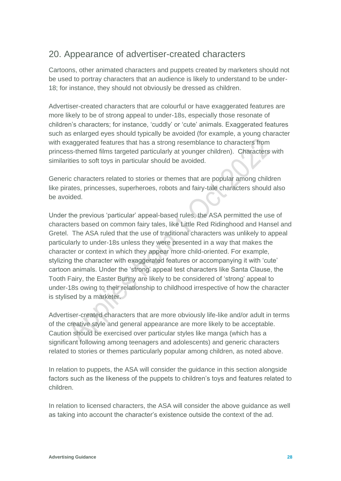#### <span id="page-27-0"></span>20. Appearance of advertiser-created characters

Cartoons, other animated characters and puppets created by marketers should not be used to portray characters that an audience is likely to understand to be under-18; for instance, they should not obviously be dressed as children.

Advertiser-created characters that are colourful or have exaggerated features are more likely to be of strong appeal to under-18s, especially those resonate of children's characters; for instance, 'cuddly' or 'cute' animals. Exaggerated features such as enlarged eyes should typically be avoided (for example, a young character with exaggerated features that has a strong resemblance to characters from princess-themed films targeted particularly at younger children). Characters with similarities to soft toys in particular should be avoided.

Generic characters related to stories or themes that are popular among children like pirates, princesses, superheroes, robots and fairy-tale characters should also be avoided.

Under the previous 'particular' appeal-based rules, the ASA permitted the use of characters based on common fairy tales, like Little Red Ridinghood and Hansel and Gretel. The ASA ruled that the use of traditional characters was unlikely to appeal particularly to under-18s unless they were presented in a way that makes the character or context in which they appear more child-oriented. For example, stylizing the character with exaggerated features or accompanying it with 'cute' cartoon animals. Under the 'strong' appeal test characters like Santa Clause, the Tooth Fairy, the Easter Bunny are likely to be considered of 'strong' appeal to under-18s owing to their relationship to childhood irrespective of how the character is stylised by a marketer.

Advertiser-created characters that are more obviously life-like and/or adult in terms of the creative style and general appearance are more likely to be acceptable. Caution should be exercised over particular styles like manga (which has a significant following among teenagers and adolescents) and generic characters related to stories or themes particularly popular among children, as noted above.

In relation to puppets, the ASA will consider the guidance in this section alongside factors such as the likeness of the puppets to children's toys and features related to children.

In relation to licensed characters, the ASA will consider the above guidance as well as taking into account the character's existence outside the context of the ad.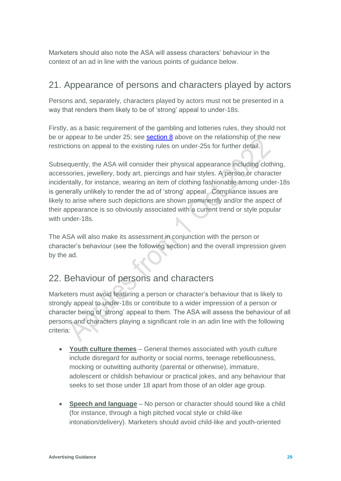Marketers should also note the ASA will assess characters' behaviour in the context of an ad in line with the various points of guidance below.

#### <span id="page-28-0"></span>21. Appearance of persons and characters played by actors

Persons and, separately, characters played by actors must not be presented in a way that renders them likely to be of 'strong' appeal to under-18s.

Firstly, as a basic requirement of the gambling and lotteries rules, they should not be or appear to be under 25; see **section 8** above on the relationship of the new restrictions on appeal to the existing rules on under-25s for further detail.

Subsequently, the ASA will consider their physical appearance including clothing, accessories, jewellery, body art, piercings and hair styles. A person or character incidentally, for instance, wearing an item of clothing fashionable among under-18s is generally unlikely to render the ad of 'strong' appeal. Compliance issues are likely to arise where such depictions are shown prominently and/or the aspect of their appearance is so obviously associated with a current trend or style popular with under-18s.

The ASA will also make its assessment in conjunction with the person or character's behaviour (see the following section) and the overall impression given by the ad.

## <span id="page-28-1"></span>22. Behaviour of persons and characters

Marketers must avoid featuring a person or character's behaviour that is likely to strongly appeal to under-18s or contribute to a wider impression of a person or character being of 'strong' appeal to them. The ASA will assess the behaviour of all persons and characters playing a significant role in an adin line with the following criteria:

- **Youth culture themes** General themes associated with youth culture include disregard for authority or social norms, teenage rebelliousness, mocking or outwitting authority (parental or otherwise), immature, adolescent or childish behaviour or practical jokes, and any behaviour that seeks to set those under 18 apart from those of an older age group.
- **Speech and language** No person or character should sound like a child (for instance, through a high pitched vocal style or child-like intonation/delivery). Marketers should avoid child-like and youth-oriented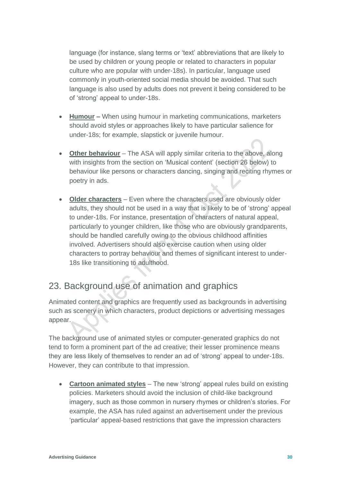language (for instance, slang terms or 'text' abbreviations that are likely to be used by children or young people or related to characters in popular culture who are popular with under-18s). In particular, language used commonly in youth-oriented social media should be avoided. That such language is also used by adults does not prevent it being considered to be of 'strong' appeal to under-18s.

- **Humour –** When using humour in marketing communications, marketers should avoid styles or approaches likely to have particular salience for under-18s; for example, slapstick or juvenile humour.
- **Other behaviour** The ASA will apply similar criteria to the above, along with insights from the section on 'Musical content' (section 26 below) to behaviour like persons or characters dancing, singing and reciting rhymes or poetry in ads.
- **Older characters** Even where the characters used are obviously older adults, they should not be used in a way that is likely to be of 'strong' appeal to under-18s. For instance, presentation of characters of natural appeal, particularly to younger children, like those who are obviously grandparents, should be handled carefully owing to the obvious childhood affinities involved. Advertisers should also exercise caution when using older characters to portray behaviour and themes of significant interest to under-18s like transitioning to adulthood.

#### 23. Background use of animation and graphics

Animated content and graphics are frequently used as backgrounds in advertising such as scenery in which characters, product depictions or advertising messages appear.

The background use of animated styles or computer-generated graphics do not tend to form a prominent part of the ad creative; their lesser prominence means they are less likely of themselves to render an ad of 'strong' appeal to under-18s. However, they can contribute to that impression.

• **Cartoon animated styles** – The new 'strong' appeal rules build on existing policies. Marketers should avoid the inclusion of child-like background imagery, such as those common in nursery rhymes or children's stories. For example, the ASA has ruled against an advertisement under the previous 'particular' appeal-based restrictions that gave the impression characters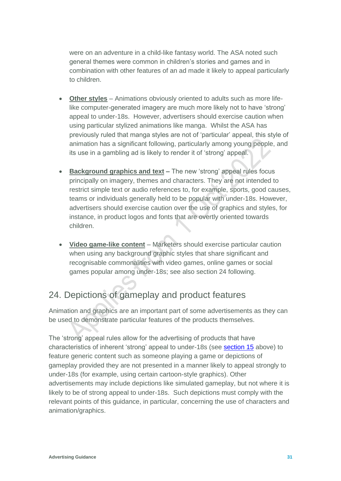were on an adventure in a child-like fantasy world. The ASA noted such general themes were common in children's stories and games and in combination with other features of an ad made it likely to appeal particularly to children.

- **Other styles** Animations obviously oriented to adults such as more lifelike computer-generated imagery are much more likely not to have 'strong' appeal to under-18s. However, advertisers should exercise caution when using particular stylized animations like manga. Whilst the ASA has previously ruled that manga styles are not of 'particular' appeal, this style of animation has a significant following, particularly among young people, and its use in a gambling ad is likely to render it of 'strong' appeal.
- **Background graphics and text –** The new 'strong' appeal rules focus principally on imagery, themes and characters. They are not intended to restrict simple text or audio references to, for example, sports, good causes, teams or individuals generally held to be popular with under-18s. However, advertisers should exercise caution over the use of graphics and styles, for instance, in product logos and fonts that are overtly oriented towards children.
- **Video game-like content** Marketers should exercise particular caution when using any background graphic styles that share significant and recognisable commonalities with video games, online games or social games popular among under-18s; see also section 24 following.

## <span id="page-30-0"></span>24. Depictions of gameplay and product features

Animation and graphics are an important part of some advertisements as they can be used to demonstrate particular features of the products themselves.

The 'strong' appeal rules allow for the advertising of products that have characteristics of inherent 'strong' appeal to under-18s (see **section 15** above) to feature generic content such as someone playing a game or depictions of gameplay provided they are not presented in a manner likely to appeal strongly to under-18s (for example, using certain cartoon-style graphics). Other advertisements may include depictions like simulated gameplay, but not where it is likely to be of strong appeal to under-18s. Such depictions must comply with the relevant points of this guidance, in particular, concerning the use of characters and animation/graphics.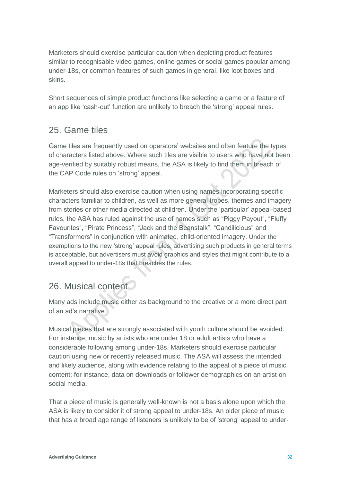Marketers should exercise particular caution when depicting product features similar to recognisable video games, online games or social games popular among under-18s, or common features of such games in general, like loot boxes and skins.

Short sequences of simple product functions like selecting a game or a feature of an app like 'cash-out' function are unlikely to breach the 'strong' appeal rules.

#### <span id="page-31-0"></span>25. Game tiles

Game tiles are frequently used on operators' websites and often feature the types of characters listed above. Where such tiles are visible to users who have not been age-verified by suitably robust means, the ASA is likely to find them in breach of the CAP Code rules on 'strong' appeal.

Marketers should also exercise caution when using names incorporating specific characters familiar to children, as well as more general tropes, themes and imagery from stories or other media directed at children. Under the 'particular' appeal-based rules, the ASA has ruled against the use of names such as "Piggy Payout", "Fluffy Favourites", "Pirate Princess", "Jack and the Beanstalk", "Candilicious" and "Transformers" in conjunction with animated, child-oriented imagery. Under the exemptions to the new 'strong' appeal rules, advertising such products in general terms is acceptable, but advertisers must avoid graphics and styles that might contribute to a overall appeal to under-18s that breaches the rules.

#### 26. Musical content

Many ads include music either as background to the creative or a more direct part of an ad's narrative.

Musical pieces that are strongly associated with youth culture should be avoided. For instance, music by artists who are under 18 or adult artists who have a considerable following among under-18s. Marketers should exercise particular caution using new or recently released music. The ASA will assess the intended and likely audience, along with evidence relating to the appeal of a piece of music content; for instance, data on downloads or follower demographics on an artist on social media.

That a piece of music is generally well-known is not a basis alone upon which the ASA is likely to consider it of strong appeal to under-18s. An older piece of music that has a broad age range of listeners is unlikely to be of 'strong' appeal to under-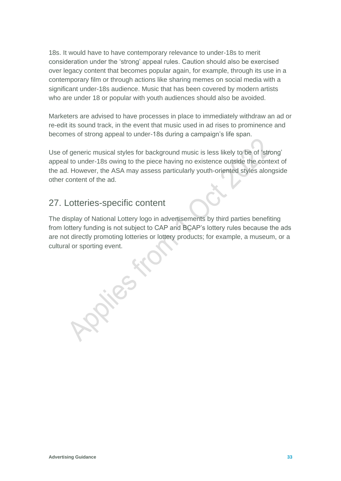18s. It would have to have contemporary relevance to under-18s to merit consideration under the 'strong' appeal rules. Caution should also be exercised over legacy content that becomes popular again, for example, through its use in a contemporary film or through actions like sharing memes on social media with a significant under-18s audience. Music that has been covered by modern artists who are under 18 or popular with youth audiences should also be avoided.

Marketers are advised to have processes in place to immediately withdraw an ad or re-edit its sound track, in the event that music used in ad rises to prominence and becomes of strong appeal to under-18s during a campaign's life span.

Use of generic musical styles for background music is less likely to be of 'strong' appeal to under-18s owing to the piece having no existence outside the context of the ad. However, the ASA may assess particularly youth-oriented styles alongside other content of the ad.

#### 27. Lotteries-specific content

The display of National Lottery logo in advertisements by third parties benefiting from lottery funding is not subject to CAP and BCAP's lottery rules because the ads are not directly promoting lotteries or lottery products; for example, a museum, or a cultural or sporting event.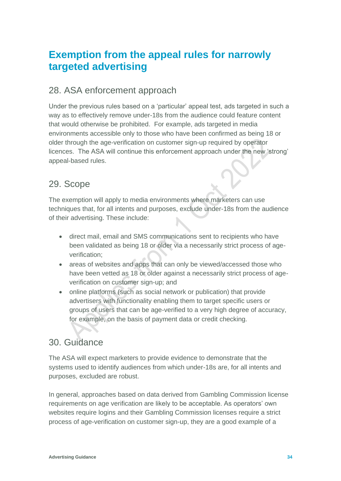## **Exemption from the appeal rules for narrowly targeted advertising**

#### <span id="page-33-0"></span>28. ASA enforcement approach

Under the previous rules based on a 'particular' appeal test, ads targeted in such a way as to effectively remove under-18s from the audience could feature content that would otherwise be prohibited. For example, ads targeted in media environments accessible only to those who have been confirmed as being 18 or older through the age-verification on customer sign-up required by operator licences. The ASA will continue this enforcement approach under the new 'strong' appeal-based rules.

#### 29. Scope

The exemption will apply to media environments where marketers can use techniques that, for all intents and purposes, exclude under-18s from the audience of their advertising. These include:

- direct mail, email and SMS communications sent to recipients who have been validated as being 18 or older via a necessarily strict process of ageverification;
- areas of websites and apps that can only be viewed/accessed those who have been vetted as 18 or older against a necessarily strict process of ageverification on customer sign-up; and
- online platforms (such as social network or publication) that provide advertisers with functionality enabling them to target specific users or groups of users that can be age-verified to a very high degree of accuracy, for example, on the basis of payment data or credit checking.

#### <span id="page-33-1"></span>30. Guidance

The ASA will expect marketers to provide evidence to demonstrate that the systems used to identify audiences from which under-18s are, for all intents and purposes, excluded are robust.

In general, approaches based on data derived from Gambling Commission license requirements on age verification are likely to be acceptable. As operators' own websites require logins and their Gambling Commission licenses require a strict process of age-verification on customer sign-up, they are a good example of a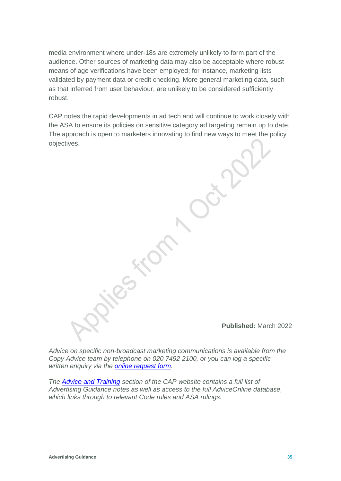media environment where under-18s are extremely unlikely to form part of the audience. Other sources of marketing data may also be acceptable where robust means of age verifications have been employed; for instance, marketing lists validated by payment data or credit checking. More general marketing data, such as that inferred from user behaviour, are unlikely to be considered sufficiently robust.

CAP notes the rapid developments in ad tech and will continue to work closely with the ASA to ensure its policies on sensitive category ad targeting remain up to date. The approach is open to marketers innovating to find new ways to meet the policy objectives.

**Published:** March 2022

*Advice on specific non-broadcast marketing communications is available from the Copy Advice team by telephone on 020 7492 2100, or you can log a specific written enquiry via the [online request form.](https://www.asa.org.uk/advice-and-resources/bespoke-copy-advice.html)* 

*The [Advice and Training](https://www.asa.org.uk/advice-and-resources.html) section of the CAP website contains a full list of Advertising Guidance notes as well as access to the full AdviceOnline database, which links through to relevant Code rules and ASA rulings.*